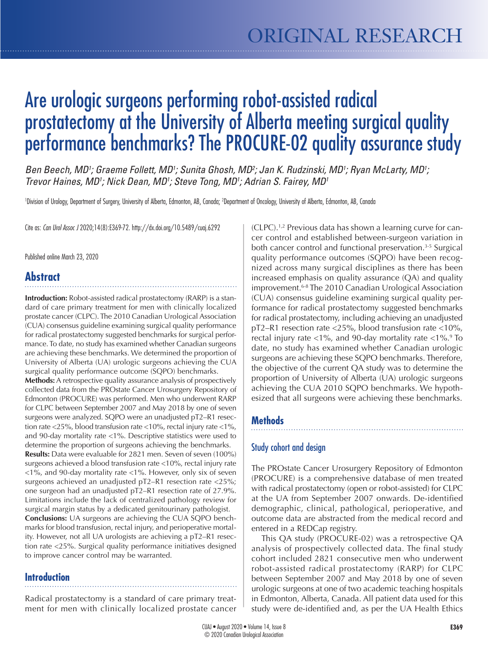# Are urologic surgeons performing robot-assisted radical prostatectomy at the University of Alberta meeting surgical quality performance benchmarks? The PROCURE-02 quality assurance study

Ben Beech, MD<sup>1</sup>; Graeme Follett, MD<sup>1</sup>; Sunita Ghosh, MD<sup>2</sup>; Jan K. Rudzinski, MD<sup>1</sup>; Ryan McLarty, MD<sup>1</sup>; *Trevor Haines, MD1 ; Nick Dean, MD1 ; Steve Tong, MD1 ; Adrian S. Fairey, MD1*

'Division of Urology, Department of Surgery, University of Alberta, Edmonton, AB, Canada; <sup>2</sup>Department of Oncology, University of Alberta, Edmonton, AB, Canada

Cite as: *Can Urol Assoc J* 2020;14(8):E369-72. http://dx.doi.org/10.5489/cuaj.6292

Published online March 23, 2020

# **Abstract**

**Introduction:** Robot-assisted radical prostatectomy (RARP) is a standard of care primary treatment for men with clinically localized prostate cancer (CLPC). The 2010 Canadian Urological Association (CUA) consensus guideline examining surgical quality performance for radical prostatectomy suggested benchmarks for surgical performance. To date, no study has examined whether Canadian surgeons are achieving these benchmarks. We determined the proportion of University of Alberta (UA) urologic surgeons achieving the CUA surgical quality performance outcome (SQPO) benchmarks.

**Methods:** A retrospective quality assurance analysis of prospectively collected data from the PROstate Cancer Urosurgery Repository of Edmonton (PROCURE) was performed. Men who underwent RARP for CLPC between September 2007 and May 2018 by one of seven surgeons were analyzed. SQPO were an unadjusted pT2–R1 resection rate <25%, blood transfusion rate <10%, rectal injury rate <1%, and 90-day mortality rate <1%. Descriptive statistics were used to determine the proportion of surgeons achieving the benchmarks. **Results:** Data were evaluable for 2821 men. Seven of seven (100%) surgeons achieved a blood transfusion rate <10%, rectal injury rate <1%, and 90-day mortality rate <1%. However, only six of seven surgeons achieved an unadjusted pT2–R1 resection rate <25%; one surgeon had an unadjusted pT2–R1 resection rate of 27.9%. Limitations include the lack of centralized pathology review for surgical margin status by a dedicated genitourinary pathologist. **Conclusions:** UA surgeons are achieving the CUA SQPO benchmarks for blood transfusion, rectal injury, and perioperative mortality. However, not all UA urologists are achieving a pT2–R1 resection rate <25%. Surgical quality performance initiatives designed to improve cancer control may be warranted.

# **Introduction**

Radical prostatectomy is a standard of care primary treatment for men with clinically localized prostate cancer

(CLPC).1,2 Previous data has shown a learning curve for cancer control and established between-surgeon variation in both cancer control and functional preservation.<sup>3-5</sup> Surgical quality performance outcomes (SQPO) have been recognized across many surgical disciplines as there has been increased emphasis on quality assurance (QA) and quality improvement.6-8 The 2010 Canadian Urological Association (CUA) consensus guideline examining surgical quality performance for radical prostatectomy suggested benchmarks for radical prostatectomy, including achieving an unadjusted pT2–R1 resection rate <25%, blood transfusion rate <10%, rectal injury rate <1%, and 90-day mortality rate <1%.9 To date, no study has examined whether Canadian urologic surgeons are achieving these SQPO benchmarks. Therefore, the objective of the current QA study was to determine the proportion of University of Alberta (UA) urologic surgeons achieving the CUA 2010 SQPO benchmarks. We hypothesized that all surgeons were achieving these benchmarks.

# **Methods**

# Study cohort and design

The PROstate Cancer Urosurgery Repository of Edmonton (PROCURE) is a comprehensive database of men treated with radical prostatectomy (open or robot-assisted) for CLPC at the UA from September 2007 onwards. De-identified demographic, clinical, pathological, perioperative, and outcome data are abstracted from the medical record and entered in a REDCap registry.

This QA study (PROCURE-02) was a retrospective QA analysis of prospectively collected data. The final study cohort included 2821 consecutive men who underwent robot-assisted radical prostatectomy (RARP) for CLPC between September 2007 and May 2018 by one of seven urologic surgeons at one of two academic teaching hospitals in Edmonton, Alberta, Canada. All patient data used for this study were de-identified and, as per the UA Health Ethics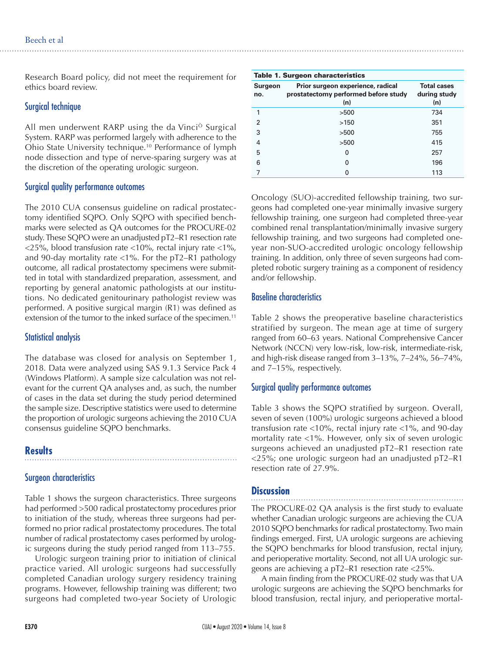Research Board policy, did not meet the requirement for ethics board review.

#### Surgical technique

All men underwent RARP using the da VinciÒ Surgical System. RARP was performed largely with adherence to the Ohio State University technique.10 Performance of lymph node dissection and type of nerve-sparing surgery was at the discretion of the operating urologic surgeon.

#### Surgical quality performance outcomes

The 2010 CUA consensus guideline on radical prostatectomy identified SQPO. Only SQPO with specified benchmarks were selected as QA outcomes for the PROCURE-02 study. These SQPO were an unadjusted pT2–R1 resection rate <25%, blood transfusion rate <10%, rectal injury rate <1%, and 90-day mortality rate <1%. For the pT2–R1 pathology outcome, all radical prostatectomy specimens were submitted in total with standardized preparation, assessment, and reporting by general anatomic pathologists at our institutions. No dedicated genitourinary pathologist review was performed. A positive surgical margin (R1) was defined as extension of the tumor to the inked surface of the specimen.<sup>11</sup>

#### Statistical analysis

The database was closed for analysis on September 1, 2018. Data were analyzed using SAS 9.1.3 Service Pack 4 (Windows Platform). A sample size calculation was not relevant for the current QA analyses and, as such, the number of cases in the data set during the study period determined the sample size. Descriptive statistics were used to determine the proportion of urologic surgeons achieving the 2010 CUA consensus guideline SQPO benchmarks.

# **Results**

# Surgeon characteristics

Table 1 shows the surgeon characteristics. Three surgeons had performed >500 radical prostatectomy procedures prior to initiation of the study, whereas three surgeons had performed no prior radical prostatectomy procedures. The total number of radical prostatectomy cases performed by urologic surgeons during the study period ranged from 113–755.

Urologic surgeon training prior to initiation of clinical practice varied. All urologic surgeons had successfully completed Canadian urology surgery residency training programs. However, fellowship training was different; two surgeons had completed two-year Society of Urologic

| <b>Table 1. Surgeon characteristics</b> |                                                                                  |                                           |  |  |  |
|-----------------------------------------|----------------------------------------------------------------------------------|-------------------------------------------|--|--|--|
| <b>Surgeon</b><br>no.                   | Prior surgeon experience, radical<br>prostatectomy performed before study<br>(n) | <b>Total cases</b><br>during study<br>(n) |  |  |  |
| 1                                       | >500                                                                             | 734                                       |  |  |  |
| $\mathfrak{p}$                          | >150                                                                             | 351                                       |  |  |  |
| 3                                       | >500                                                                             | 755                                       |  |  |  |
| $\overline{4}$                          | >500                                                                             | 415                                       |  |  |  |
| 5                                       | $\Omega$                                                                         | 257                                       |  |  |  |
| 6                                       | O                                                                                | 196                                       |  |  |  |
|                                         | 0                                                                                | 113                                       |  |  |  |

Oncology (SUO)-accredited fellowship training, two surgeons had completed one-year minimally invasive surgery fellowship training, one surgeon had completed three-year combined renal transplantation/minimally invasive surgery fellowship training, and two surgeons had completed oneyear non-SUO-accredited urologic oncology fellowship training. In addition, only three of seven surgeons had completed robotic surgery training as a component of residency and/or fellowship.

#### Baseline characteristics

Table 2 shows the preoperative baseline characteristics stratified by surgeon. The mean age at time of surgery ranged from 60–63 years. National Comprehensive Cancer Network (NCCN) very low-risk, low-risk, intermediate-risk, and high-risk disease ranged from 3–13%, 7–24%, 56–74%, and 7–15%, respectively.

# Surgical quality performance outcomes

Table 3 shows the SQPO stratified by surgeon. Overall, seven of seven (100%) urologic surgeons achieved a blood transfusion rate <10%, rectal injury rate <1%, and 90-day mortality rate <1%. However, only six of seven urologic surgeons achieved an unadjusted pT2–R1 resection rate <25%; one urologic surgeon had an unadjusted pT2–R1 resection rate of 27.9%.

# **Discussion**

The PROCURE-02 QA analysis is the first study to evaluate whether Canadian urologic surgeons are achieving the CUA 2010 SQPO benchmarks for radical prostatectomy. Two main findings emerged. First, UA urologic surgeons are achieving the SQPO benchmarks for blood transfusion, rectal injury, and perioperative mortality. Second, not all UA urologic surgeons are achieving a pT2–R1 resection rate <25%.

A main finding from the PROCURE-02 study was that UA urologic surgeons are achieving the SQPO benchmarks for blood transfusion, rectal injury, and perioperative mortal-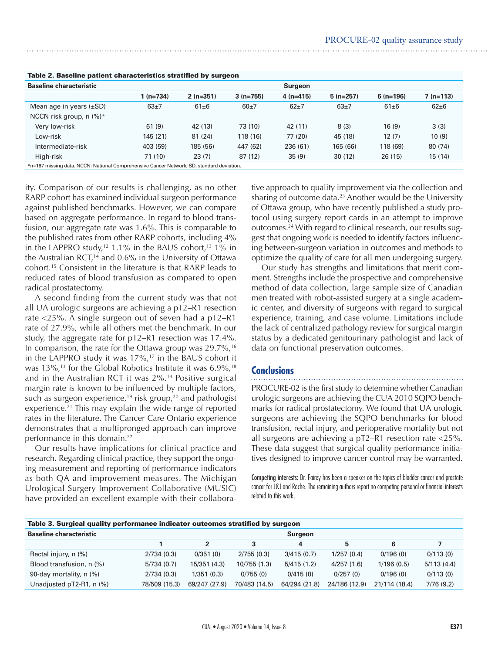| Table 2. Baseline patient characteristics stratified by surgeon                           |            |            |            |                |            |            |            |  |  |
|-------------------------------------------------------------------------------------------|------------|------------|------------|----------------|------------|------------|------------|--|--|
| <b>Baseline characteristic</b>                                                            |            |            |            | <b>Surgeon</b> |            |            |            |  |  |
|                                                                                           | $1(n=734)$ | $2(n=351)$ | $3(n=755)$ | $4(n=415)$     | $5(n=257)$ | $6(n=196)$ | $7(n=113)$ |  |  |
| Mean age in years $(\pm SD)$                                                              | $63+7$     | $61\pm 6$  | $60+7$     | $62 + 7$       | $63+7$     | $61\pm 6$  | $62 + 6$   |  |  |
| NCCN risk group, $n$ (%)*                                                                 |            |            |            |                |            |            |            |  |  |
| Very low-risk                                                                             | 61(9)      | 42 (13)    | 73 (10)    | 42 (11)        | 8(3)       | 16(9)      | 3(3)       |  |  |
| Low-risk                                                                                  | 145(21)    | 81(24)     | 118 (16)   | 77 (20)        | 45 (18)    | 12(7)      | 10(9)      |  |  |
| Intermediate-risk                                                                         | 403 (59)   | 185 (56)   | 447 (62)   | 236 (61)       | 165 (66)   | 118 (69)   | 80 (74)    |  |  |
| High-risk                                                                                 | 71 (10)    | 23(7)      | 87(12)     | 35(9)          | 30(12)     | 26(15)     | 15(14)     |  |  |
| *n=167 missing data. NCCN: National Comprehensive Cancer Network; SD, standard deviation. |            |            |            |                |            |            |            |  |  |

|  |  | Table 2. Baseline patient characteristics stratified by surgeon |
|--|--|-----------------------------------------------------------------|
|--|--|-----------------------------------------------------------------|

ity. Comparison of our results is challenging, as no other RARP cohort has examined individual surgeon performance against published benchmarks. However, we can compare based on aggregate performance. In regard to blood transfusion, our aggregate rate was 1.6%. This is comparable to the published rates from other RARP cohorts, including 4% in the LAPPRO study,<sup>12</sup> 1.1% in the BAUS cohort,<sup>13</sup> 1% in the Australian RCT, $14$  and 0.6% in the University of Ottawa cohort.15 Consistent in the literature is that RARP leads to reduced rates of blood transfusion as compared to open radical prostatectomy.

A second finding from the current study was that not all UA urologic surgeons are achieving a pT2–R1 resection rate <25%. A single surgeon out of seven had a pT2–R1 rate of 27.9%, while all others met the benchmark. In our study, the aggregate rate for pT2–R1 resection was 17.4%. In comparison, the rate for the Ottawa group was  $29.7\%$ ,<sup>16</sup> in the LAPPRO study it was  $17\%$ ,<sup>17</sup> in the BAUS cohort it was 13%,<sup>13</sup> for the Global Robotics Institute it was 6.9%,<sup>18</sup> and in the Australian RCT it was 2%.14 Positive surgical margin rate is known to be influenced by multiple factors, such as surgeon experience,<sup>19</sup> risk group,<sup>20</sup> and pathologist experience.<sup>21</sup> This may explain the wide range of reported rates in the literature. The Cancer Care Ontario experience demonstrates that a multipronged approach can improve performance in this domain.22

Our results have implications for clinical practice and research. Regarding clinical practice, they support the ongoing measurement and reporting of performance indicators as both QA and improvement measures. The Michigan Urological Surgery Improvement Collaborative (MUSIC) have provided an excellent example with their collaborative approach to quality improvement via the collection and sharing of outcome data. $^{23}$  Another would be the University of Ottawa group, who have recently published a study protocol using surgery report cards in an attempt to improve outcomes.<sup>24</sup> With regard to clinical research, our results suggest that ongoing work is needed to identify factors influencing between-surgeon variation in outcomes and methods to optimize the quality of care for all men undergoing surgery.

Our study has strengths and limitations that merit comment. Strengths include the prospective and comprehensive method of data collection, large sample size of Canadian men treated with robot-assisted surgery at a single academic center, and diversity of surgeons with regard to surgical experience, training, and case volume. Limitations include the lack of centralized pathology review for surgical margin status by a dedicated genitourinary pathologist and lack of data on functional preservation outcomes.

# **Conclusions**

PROCURE-02 is the first study to determine whether Canadian urologic surgeons are achieving the CUA 2010 SQPO benchmarks for radical prostatectomy. We found that UA urologic surgeons are achieving the SQPO benchmarks for blood transfusion, rectal injury, and perioperative mortality but not all surgeons are achieving a pT2–R1 resection rate <25%. These data suggest that surgical quality performance initiatives designed to improve cancer control may be warranted.

Competing interests: Dr. Fairey has been a speaker on the topics of bladder cancer and prostate cancer for J&J and Roche. The remaining authors report no competing personal or financial interests related to this work.

| Table 3. Surgical quality performance indicator outcomes stratified by surgeon |                |               |               |               |               |               |            |  |
|--------------------------------------------------------------------------------|----------------|---------------|---------------|---------------|---------------|---------------|------------|--|
| <b>Baseline characteristic</b>                                                 | <b>Surgeon</b> |               |               |               |               |               |            |  |
|                                                                                |                |               | 3             | 4             | 5             | 6             |            |  |
| Rectal injury, n (%)                                                           | 2/734(0.3)     | 0/351(0)      | 2/755(0.3)    | 3/415(0.7)    | 1/257(0.4)    | 0/196(0)      | 0/113(0)   |  |
| Blood transfusion, n (%)                                                       | 5/734(0.7)     | 15/351(4.3)   | 10/755(1.3)   | 5/415(1.2)    | 4/257(1.6)    | 1/196(0.5)    | 5/113(4.4) |  |
| 90-day mortality, n (%)                                                        | 2/734(0.3)     | 1/351(0.3)    | 0/755(0)      | 0/415(0)      | 0/257(0)      | 0/196(0)      | 0/113(0)   |  |
| Unadjusted pT2-R1, n (%)                                                       | 78/509 (15.3)  | 69/247 (27.9) | 70/483 (14.5) | 64/294 (21.8) | 24/186 (12.9) | 21/114 (18.4) | 7/76(9.2)  |  |